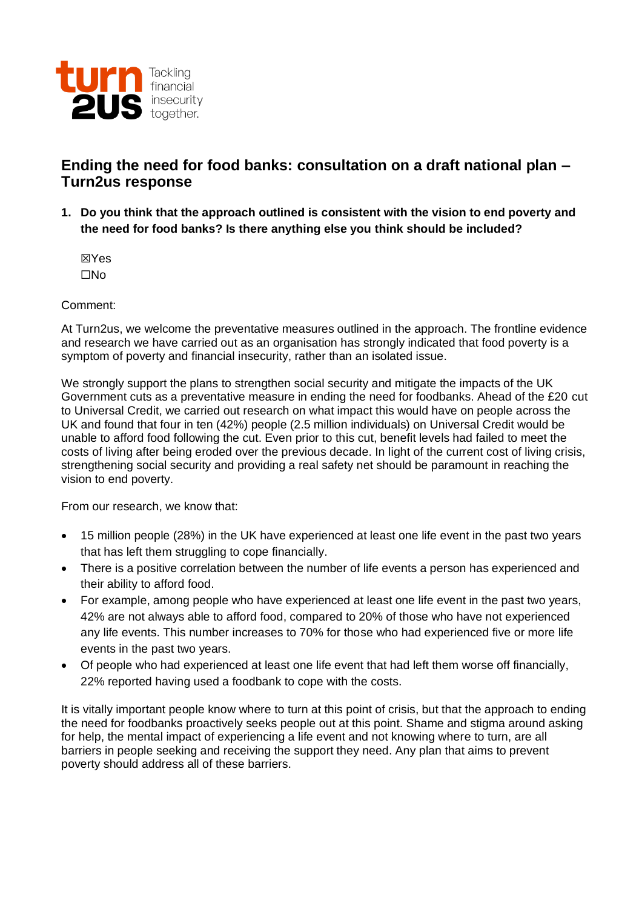

# **Ending the need for food banks: consultation on a draft national plan – Turn2us response**

**1. Do you think that the approach outlined is consistent with the vision to end poverty and the need for food banks? Is there anything else you think should be included?**

☒Yes ☐No

#### Comment:

At Turn2us, we welcome the preventative measures outlined in the approach. The frontline evidence and research we have carried out as an organisation has strongly indicated that food poverty is a symptom of poverty and financial insecurity, rather than an isolated issue.

We strongly support the plans to strengthen social security and mitigate the impacts of the UK Government cuts as a preventative measure in ending the need for foodbanks. Ahead of the £20 cut to Universal Credit, we carried out research on what impact this would have on people across the UK and found that four in ten (42%) people (2.5 million individuals) on Universal Credit would be unable to afford food following the cut. Even prior to this cut, benefit levels had failed to meet the costs of living after being eroded over the previous decade. In light of the current cost of living crisis, strengthening social security and providing a real safety net should be paramount in reaching the vision to end poverty.

From our research, we know that:

- 15 million people (28%) in the UK have experienced at least one life event in the past two years that has left them struggling to cope financially.
- There is a positive correlation between the number of life events a person has experienced and their ability to afford food.
- For example, among people who have experienced at least one life event in the past two years, 42% are not always able to afford food, compared to 20% of those who have not experienced any life events. This number increases to 70% for those who had experienced five or more life events in the past two years.
- Of people who had experienced at least one life event that had left them worse off financially, 22% reported having used a foodbank to cope with the costs.

It is vitally important people know where to turn at this point of crisis, but that the approach to ending the need for foodbanks proactively seeks people out at this point. Shame and stigma around asking for help, the mental impact of experiencing a life event and not knowing where to turn, are all barriers in people seeking and receiving the support they need. Any plan that aims to prevent poverty should address all of these barriers.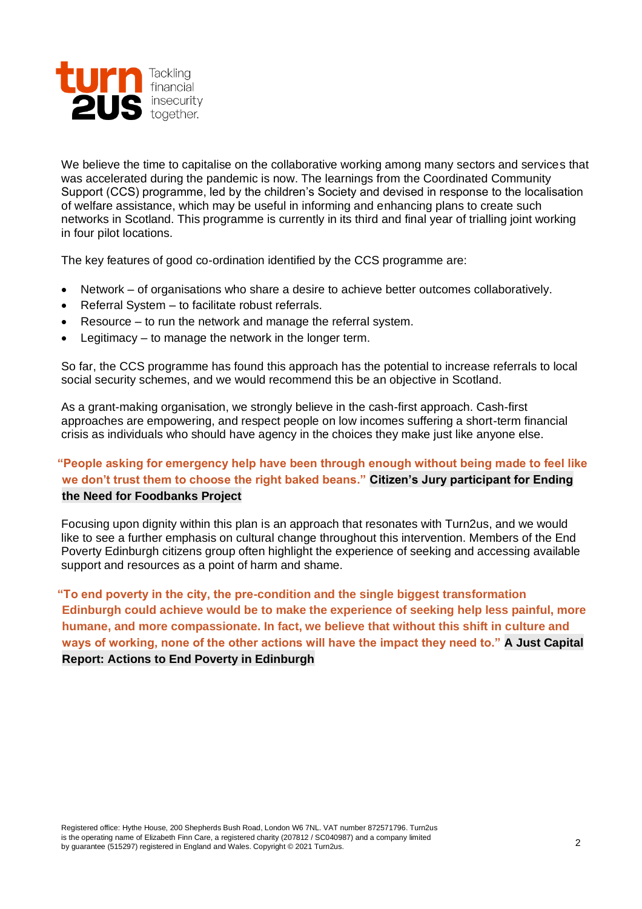

We believe the time to capitalise on the collaborative working among many sectors and services that was accelerated during the pandemic is now. The learnings from the Coordinated Community Support (CCS) programme, led by the children's Society and devised in response to the localisation of welfare assistance, which may be useful in informing and enhancing plans to create such networks in Scotland. This programme is currently in its third and final year of trialling joint working in four pilot locations.

The key features of good co-ordination identified by the CCS programme are:

- Network of organisations who share a desire to achieve better outcomes collaboratively.
- Referral System to facilitate robust referrals.
- Resource to run the network and manage the referral system.
- Legitimacy  $-$  to manage the network in the longer term.

So far, the CCS programme has found this approach has the potential to increase referrals to local social security schemes, and we would recommend this be an objective in Scotland.

As a grant-making organisation, we strongly believe in the cash-first approach. Cash-first approaches are empowering, and respect people on low incomes suffering a short-term financial crisis as individuals who should have agency in the choices they make just like anyone else.

# **"People asking for emergency help have been through enough without being made to feel like we don't trust them to choose the right baked beans." Citizen's Jury participant for Ending the Need for Foodbanks Project**

Focusing upon dignity within this plan is an approach that resonates with Turn2us, and we would like to see a further emphasis on cultural change throughout this intervention. Members of the End Poverty Edinburgh citizens group often highlight the experience of seeking and accessing available support and resources as a point of harm and shame.

**"To end poverty in the city, the pre-condition and the single biggest transformation Edinburgh could achieve would be to make the experience of seeking help less painful, more humane, and more compassionate. In fact, we believe that without this shift in culture and ways of working, none of the other actions will have the impact they need to." A Just Capital Report: Actions to End Poverty in Edinburgh**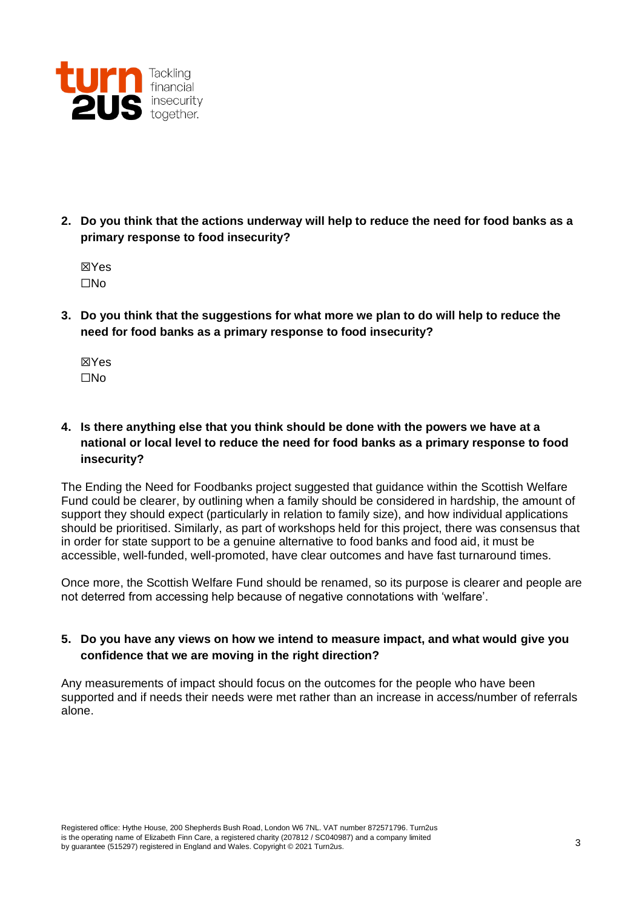

- **2. Do you think that the actions underway will help to reduce the need for food banks as a primary response to food insecurity?** 
	- ☒Yes ☐No
- **3. Do you think that the suggestions for what more we plan to do will help to reduce the need for food banks as a primary response to food insecurity?**
	- ☒Yes ☐No

# **4. Is there anything else that you think should be done with the powers we have at a national or local level to reduce the need for food banks as a primary response to food insecurity?**

The Ending the Need for Foodbanks project suggested that guidance within the Scottish Welfare Fund could be clearer, by outlining when a family should be considered in hardship, the amount of support they should expect (particularly in relation to family size), and how individual applications should be prioritised. Similarly, as part of workshops held for this project, there was consensus that in order for state support to be a genuine alternative to food banks and food aid, it must be accessible, well-funded, well-promoted, have clear outcomes and have fast turnaround times.

Once more, the Scottish Welfare Fund should be renamed, so its purpose is clearer and people are not deterred from accessing help because of negative connotations with 'welfare'.

#### **5. Do you have any views on how we intend to measure impact, and what would give you confidence that we are moving in the right direction?**

Any measurements of impact should focus on the outcomes for the people who have been supported and if needs their needs were met rather than an increase in access/number of referrals alone.